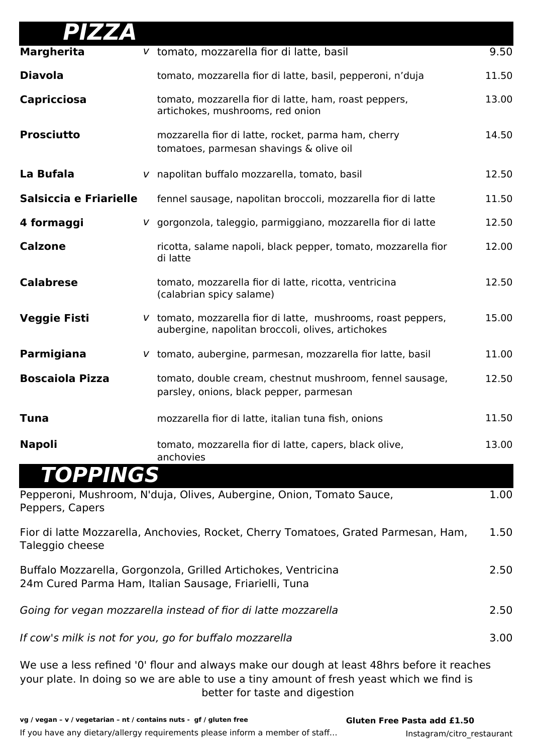| PIZZA                                                                                                                    |  |                                                                                                                    |       |
|--------------------------------------------------------------------------------------------------------------------------|--|--------------------------------------------------------------------------------------------------------------------|-------|
| <b>Margherita</b>                                                                                                        |  | v tomato, mozzarella fior di latte, basil                                                                          | 9.50  |
| <b>Diavola</b>                                                                                                           |  | tomato, mozzarella fior di latte, basil, pepperoni, n'duja                                                         | 11.50 |
| <b>Capricciosa</b>                                                                                                       |  | tomato, mozzarella fior di latte, ham, roast peppers,<br>artichokes, mushrooms, red onion                          | 13.00 |
| <b>Prosciutto</b>                                                                                                        |  | mozzarella fior di latte, rocket, parma ham, cherry<br>tomatoes, parmesan shavings & olive oil                     | 14.50 |
| La Bufala                                                                                                                |  | v napolitan buffalo mozzarella, tomato, basil                                                                      | 12.50 |
| Salsiccia e Friarielle                                                                                                   |  | fennel sausage, napolitan broccoli, mozzarella fior di latte                                                       | 11.50 |
| 4 formaggi                                                                                                               |  | v gorgonzola, taleggio, parmiggiano, mozzarella fior di latte                                                      | 12.50 |
| <b>Calzone</b>                                                                                                           |  | ricotta, salame napoli, black pepper, tomato, mozzarella fior<br>di latte                                          | 12.00 |
| <b>Calabrese</b>                                                                                                         |  | tomato, mozzarella fior di latte, ricotta, ventricina<br>(calabrian spicy salame)                                  | 12.50 |
| <b>Veggie Fisti</b>                                                                                                      |  | V tomato, mozzarella fior di latte, mushrooms, roast peppers,<br>aubergine, napolitan broccoli, olives, artichokes | 15.00 |
| Parmigiana                                                                                                               |  | V tomato, aubergine, parmesan, mozzarella fior latte, basil                                                        | 11.00 |
| <b>Boscaiola Pizza</b>                                                                                                   |  | tomato, double cream, chestnut mushroom, fennel sausage,<br>parsley, onions, black pepper, parmesan                | 12.50 |
| Tuna                                                                                                                     |  | mozzarella fior di latte, italian tuna fish, onions                                                                | 11.50 |
| <b>Napoli</b>                                                                                                            |  | tomato, mozzarella fior di latte, capers, black olive,<br>anchovies                                                | 13.00 |
| <b>TOPPINGS</b>                                                                                                          |  |                                                                                                                    |       |
| Peppers, Capers                                                                                                          |  | Pepperoni, Mushroom, N'duja, Olives, Aubergine, Onion, Tomato Sauce,                                               | 1.00  |
| Taleggio cheese                                                                                                          |  | Fior di latte Mozzarella, Anchovies, Rocket, Cherry Tomatoes, Grated Parmesan, Ham,                                | 1.50  |
| Buffalo Mozzarella, Gorgonzola, Grilled Artichokes, Ventricina<br>24m Cured Parma Ham, Italian Sausage, Friarielli, Tuna |  |                                                                                                                    |       |
| Going for vegan mozzarella instead of fior di latte mozzarella                                                           |  |                                                                                                                    |       |
|                                                                                                                          |  | If cow's milk is not for you, go for buffalo mozzarella                                                            | 3.00  |

We use a less refined '0' flour and always make our dough at least 48hrs before it reaches your plate. In doing so we are able to use a tiny amount of fresh yeast which we find is better for taste and digestion